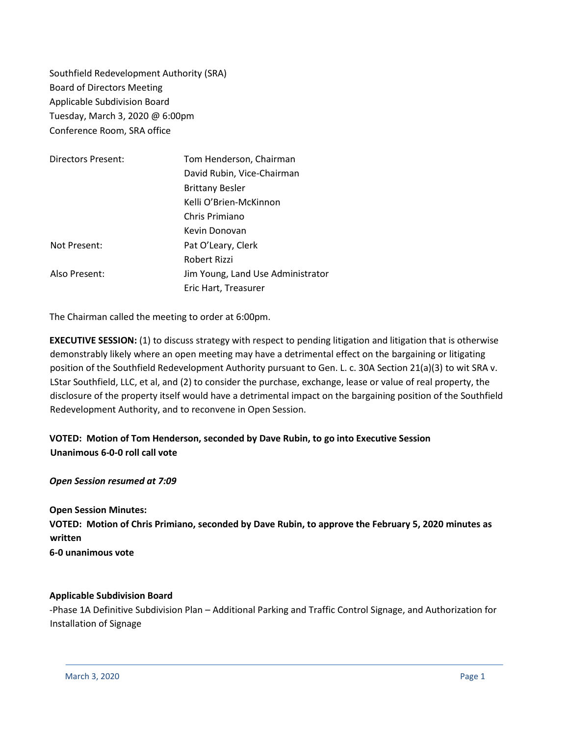Southfield Redevelopment Authority (SRA) Board of Directors Meeting Applicable Subdivision Board Tuesday, March 3, 2020 @ 6:00pm Conference Room, SRA office

| Directors Present: | Tom Henderson, Chairman           |
|--------------------|-----------------------------------|
|                    | David Rubin, Vice-Chairman        |
|                    | <b>Brittany Besler</b>            |
|                    | Kelli O'Brien-McKinnon            |
|                    | Chris Primiano                    |
|                    | Kevin Donovan                     |
| Not Present:       | Pat O'Leary, Clerk                |
|                    | Robert Rizzi                      |
| Also Present:      | Jim Young, Land Use Administrator |
|                    | Eric Hart, Treasurer              |

The Chairman called the meeting to order at 6:00pm.

**EXECUTIVE SESSION:** (1) to discuss strategy with respect to pending litigation and litigation that is otherwise demonstrably likely where an open meeting may have a detrimental effect on the bargaining or litigating position of the Southfield Redevelopment Authority pursuant to Gen. L. c. 30A Section 21(a)(3) to wit SRA v. LStar Southfield, LLC, et al, and (2) to consider the purchase, exchange, lease or value of real property, the disclosure of the property itself would have a detrimental impact on the bargaining position of the Southfield Redevelopment Authority, and to reconvene in Open Session.

# **VOTED: Motion of Tom Henderson, seconded by Dave Rubin, to go into Executive Session Unanimous 6-0-0 roll call vote**

## *Open Session resumed at 7:09*

**Open Session Minutes: VOTED: Motion of Chris Primiano, seconded by Dave Rubin, to approve the February 5, 2020 minutes as written 6-0 unanimous vote** 

## **Applicable Subdivision Board**

-Phase 1A Definitive Subdivision Plan – Additional Parking and Traffic Control Signage, and Authorization for Installation of Signage